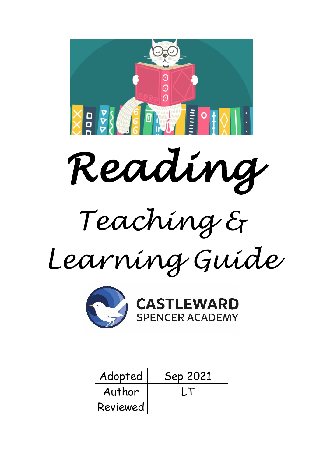



CASTLEWARD

| Adopted  | Sep 2021 |
|----------|----------|
| Author   |          |
| Reviewed |          |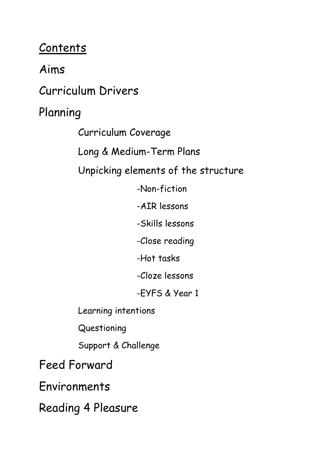# **Contents**

Aims

Curriculum Drivers

Planning

Curriculum Coverage

Long & Medium-Term Plans

Unpicking elements of the structure

-Non-fiction

-AIR lessons

-Skills lessons

-Close reading

-Hot tasks

-Cloze lessons

-EYFS & Year 1

Learning intentions

Questioning

Support & Challenge

Feed Forward

Environments

Reading 4 Pleasure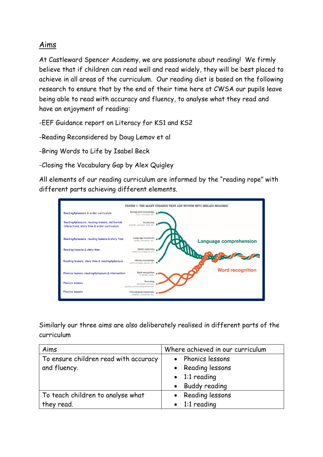### Aims

At Castleward Spencer Academy, we are passionate about reading! We firmly believe that if children can read well and read widely, they will be best placed to achieve in all areas of the curriculum. Our reading diet is based on the following research to ensure that by the end of their time here at CWSA our pupils leave being able to read with accuracy and fluency, to analyse what they read and have an enjoyment of reading:

-EEF Guidance report on Literacy for KS1 and KS2

-Reading Reconsidered by Doug Lemov et al

-Bring Words to Life by Isabel Beck

-Closing the Vocabulary Gap by Alex Quigley

All elements of our reading curriculum are informed by the "reading rope" with different parts achieving different elements.



Similarly our three aims are also deliberately realised in different parts of the curriculum

| Aims                                  | Where achieved in our curriculum |
|---------------------------------------|----------------------------------|
| To ensure children read with accuracy | • Phonics lessons                |
| and fluency.                          | • Reading lessons                |
|                                       | $\bullet$ 1:1 reading            |
|                                       | • Buddy reading                  |
| To teach children to analyse what     | • Reading lessons                |
| they read.                            | $\bullet$ 1:1 reading            |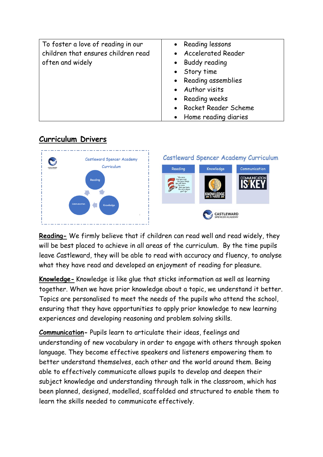| To foster a love of reading in our<br>children that ensures children read<br>often and widely | • Reading lessons<br>• Accelerated Reader<br>• Buddy reading<br>• Story time<br>• Reading assemblies<br>• Author visits<br>• Reading weeks<br>• Rocket Reader Scheme<br>• Home reading diaries |
|-----------------------------------------------------------------------------------------------|------------------------------------------------------------------------------------------------------------------------------------------------------------------------------------------------|
|-----------------------------------------------------------------------------------------------|------------------------------------------------------------------------------------------------------------------------------------------------------------------------------------------------|

### **Curriculum Drivers**



**Reading-** We firmly believe that if children can read well and read widely, they will be best placed to achieve in all areas of the curriculum. By the time pupils leave Castleward, they will be able to read with accuracy and fluency, to analyse what they have read and developed an enjoyment of reading for pleasure.

**Knowledge-** Knowledge is like glue that sticks information as well as learning together. When we have prior knowledge about a topic, we understand it better. Topics are personalised to meet the needs of the pupils who attend the school, ensuring that they have opportunities to apply prior knowledge to new learning experiences and developing reasoning and problem solving skills.

**Communication-** Pupils learn to articulate their ideas, feelings and understanding of new vocabulary in order to engage with others through spoken language. They become effective speakers and listeners empowering them to better understand themselves, each other and the world around them. Being able to effectively communicate allows pupils to develop and deepen their subject knowledge and understanding through talk in the classroom, which has been planned, designed, modelled, scaffolded and structured to enable them to learn the skills needed to communicate effectively.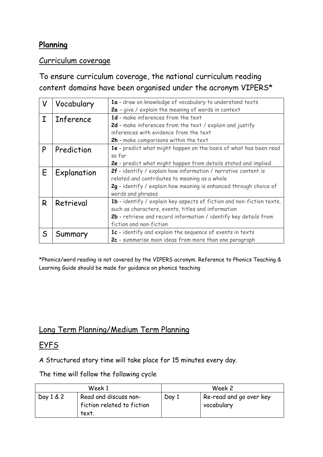### **Planning**

### Curriculum coverage

## To ensure curriculum coverage, the national curriculum reading content domains have been organised under the acronym VIPERS\*

| V            | Vocabulary       | 1a - draw on knowledge of vocabulary to understand texts              |
|--------------|------------------|-----------------------------------------------------------------------|
|              |                  | 2a - give / explain the meaning of words in context                   |
| T            | <b>Inference</b> | 1d - make inferences from the text                                    |
|              |                  | 2d - make inferences from the text / explain and justify              |
|              |                  | inferences with evidence from the text                                |
|              |                  | 2h - make comparisons within the text                                 |
| P            | Prediction       | 1e - predict what might happen on the basis of what has been read     |
|              |                  | so far                                                                |
|              |                  | 2e - predict what might happen from details stated and implied        |
| E            | Explanation      | 2f - identify / explain how information / narrative content is        |
|              |                  | related and contributes to meaning as a whole                         |
|              |                  | 2g - identify / explain how meaning is enhanced through choice of     |
|              |                  | words and phrases                                                     |
| R            | Retrieval        | 1b - identify / explain key aspects of fiction and non-fiction texts, |
|              |                  | such as characters, events, titles and information                    |
|              |                  | 2b - retrieve and record information / identify key details from      |
|              |                  | fiction and non-fiction                                               |
| $\mathsf{S}$ | Summary          | 1c - identify and explain the sequence of events in texts             |
|              |                  | 2c - summarise main ideas from more than one paragraph                |

\*Phonics/word reading is not covered by the VIPERS acronym. Reference to Phonics Teaching & Learning Guide should be made for guidance on phonics teaching

### Long Term Planning/Medium Term Planning

### **EYFS**

A Structured story time will take place for 15 minutes every day.

The time will follow the following cycle

|           | Week 1                                                      |       | Week 2                                |
|-----------|-------------------------------------------------------------|-------|---------------------------------------|
| Day 1 & 2 | Read and discuss non-<br>fiction related to fiction<br>text | Day 1 | Re-read and go over key<br>vocabulary |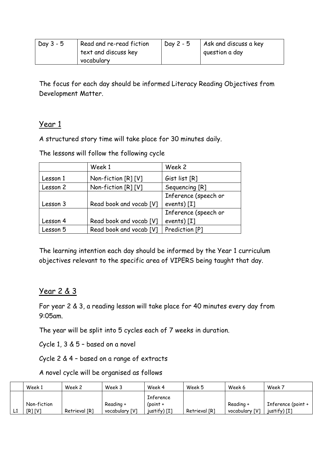| Day $3 - 5$ | Read and re-read fiction | Day $2 - 5$ | Ask and discuss a key |
|-------------|--------------------------|-------------|-----------------------|
|             | text and discuss key     |             | question a day        |
|             | vocabulary               |             |                       |

The focus for each day should be informed Literacy Reading Objectives from Development Matter.

#### Year 1

A structured story time will take place for 30 minutes daily.

The lessons will follow the following cycle

|          | Week 1                  | Week 2               |
|----------|-------------------------|----------------------|
| Lesson 1 | Non-fiction [R] [V]     | Gist list [R]        |
| Lesson 2 | Non-fiction [R] [V]     | Sequencing [R]       |
|          |                         | Inference (speech or |
| Lesson 3 | Read book and vocab [V] | events) $[I]$        |
|          |                         | Inference (speech or |
| Lesson 4 | Read book and vocab [V] | events) $[I]$        |
| Lesson 5 | Read book and vocab [V] | Prediction [P]       |

The learning intention each day should be informed by the Year 1 curriculum objectives relevant to the specific area of VIPERS being taught that day.

### Year 2 & 3

For year 2 & 3, a reading lesson will take place for 40 minutes every day from 9:05am.

The year will be split into 5 cycles each of 7 weeks in duration.

Cycle 1, 3 & 5 – based on a novel

Cycle 2 & 4 – based on a range of extracts

A novel cycle will be organised as follows

|    | Week 1                | Week 2        | Week 3                      | Week 4                                    | Week 5        | Week 6                      | Week 7                             |
|----|-----------------------|---------------|-----------------------------|-------------------------------------------|---------------|-----------------------------|------------------------------------|
| L1 | Non-fiction<br>[R][V] | Retrieval [R] | Reading +<br>vocabulary [V] | Inference<br>(point $+$<br>$justify)$ [I] | Retrieval [R] | Reading +<br>vocabulary [V] | Inference (point +<br>justify) [I] |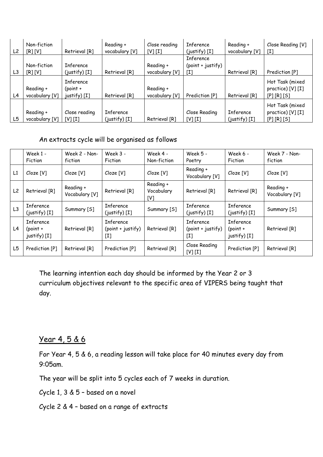| L <sub>2</sub> | Non-fiction<br>[R][V]       | Retrieval [R]                                  | Reading +<br>vocabulary [V]  | Close reading<br>[V][I]     | Inference<br>$(iustify)$ [I]                 | Reading +<br>vocabulary [V]  | Close Reading [V]<br>[I]                              |
|----------------|-----------------------------|------------------------------------------------|------------------------------|-----------------------------|----------------------------------------------|------------------------------|-------------------------------------------------------|
| L3             | Non-fiction<br>[R][V]       | <b>Inference</b><br>$(justify)$ [I]            | Retrieval [R]                | Reading +<br>vocabulary [V] | <b>Inference</b><br>(point + justify)<br>[I] | Retrieval [R]                | Prediction [P]                                        |
| L4             | Reading +<br>vocabulary [V] | <b>Inference</b><br>$(point +$<br>justify) [I] | Retrieval [R]                | Reading +<br>vocabulary [V] | Prediction [P]                               | Retrieval [R]                | Hot Task (mixed<br>practice) [V] [I]<br>$[P][R][S]$   |
| L5             | Reading +<br>vocabulary [V] | Close reading<br>[V] [I]                       | Inference<br>$(iustify)$ [I] | Retrieval [R]               | Close Reading<br>[V][I]                      | Inference<br>$(justify)$ [I] | Hot Task (mixed<br>practice) [V] [I]<br>$[P] [R] [S]$ |

An extracts cycle will be organised as follows

|                | Week 1 -<br>Fiction                            | Week 2 - Non-<br>fiction    | Week 3 -<br>Fiction                                         | Week 4 -<br>Non-fiction        | Week 5 -<br>Poetry                             | Week 6 -<br>Fiction                              | Week 7 - Non-<br>fiction    |
|----------------|------------------------------------------------|-----------------------------|-------------------------------------------------------------|--------------------------------|------------------------------------------------|--------------------------------------------------|-----------------------------|
| L1             | Cloze [V]                                      | Cloze [V]                   | Cloze [V]                                                   | Cloze [V]                      | Reading +<br>Vocabulary [V]                    | Cloze [V]                                        | Cloze [V]                   |
| L <sub>2</sub> | Retrieval [R]                                  | Reading +<br>Vocabulary [V] | Retrieval [R]                                               | Reading +<br>Vocabulary<br>[V] | Retrieval [R]                                  | Retrieval [R]                                    | Reading +<br>Vocabulary [V] |
| L3             | Inference<br>$(iustify)$ [I]                   | Summary [S]                 | <b>Inference</b><br>$(iustify)$ [I]                         | Summary [S]                    | Inference<br>$(iustify)$ [I]                   | <b>Inference</b><br>$(iustify)$ [I]              | Summary [S]                 |
| L4             | <b>Inference</b><br>$(point +$<br>justify) [I] | Retrieval [R]               | <b>Inference</b><br>$(point + justify)$<br>$\mathfrak{[I]}$ | Retrieval [R]                  | <b>Inference</b><br>$(point + justify)$<br>[I] | <b>Inference</b><br>$(point +$<br>$justify)$ [I] | Retrieval [R]               |
| L5             | Prediction [P]                                 | Retrieval [R]               | Prediction [P]                                              | Retrieval [R]                  | Close Reading<br>[V][I]                        | Prediction [P]                                   | Retrieval [R]               |

The learning intention each day should be informed by the Year 2 or 3 curriculum objectives relevant to the specific area of VIPERS being taught that day.

#### Year 4, 5 & 6

For Year 4, 5 & 6, a reading lesson will take place for 40 minutes every day from 9:05am.

The year will be split into 5 cycles each of 7 weeks in duration.

Cycle 1, 3 & 5 – based on a novel

Cycle 2 & 4 – based on a range of extracts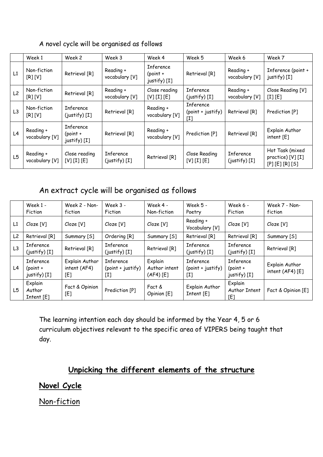#### Week1 | Week2 | Week3 | Week4 | Week5 | Week6 | Week7 L1  $\begin{bmatrix} \text{Non-fiction} \\ \text{[R][V]} \end{bmatrix}$  $R$  Retrieval  $[R]$  Reading + vocabulary [V] Inference (point + justify) [I] Retrieval [R] Reading + vocabulary [V] Inference (point + justify) [I]  $L2$  Non-fiction<br>[R] [V]  $Retrical [R]$  Reading + vocabulary [V] Close reading [V] [I] [E] Inference (justify) [I] Reading + vocabulary [V] Close Reading [V] [I] [E]  $L3$  Non-fiction [R] [V] Inference Inference  $(i$ ustify) [I] Retrieval [R] Reading + vocabulary [V] Inference (point + justify) [I] Retrieval  $[R]$  Prediction  $[P]$  $L4$  Reading + vocabulary [V] Inference (point + justify) [I] Retrieval [R] Reading +<br>vocabulary [V] Reading +  $\bigcup_{\text{Vocolinary }[V]}$  Prediction [P] Retrieval [R]  $\bigcap_{\text{intent }[E]}$ intent [E]  $L5$  Reading + vocabulary [V] Close reading [V] [I] [E] Inference Inference  $(iustify) [I]$  Retrieval  $[R]$   $[V][I][E]$ [V] [I] [E] Inference (justify) [I] Hot Task (mixed practice) [V] [I] [P] [E] [R] [S]

#### A novel cycle will be organised as follows

### An extract cycle will be organised as follows

|                | Week 1 -<br>Fiction                            | Week 2 - Non-<br>fiction              | Week $3 -$<br>Fiction                 | Week 4 -<br>Non-fiction               | Week 5 -<br>Poetry                    | Week 6 -<br>Fiction                     | Week 7 - Non-<br>fiction             |
|----------------|------------------------------------------------|---------------------------------------|---------------------------------------|---------------------------------------|---------------------------------------|-----------------------------------------|--------------------------------------|
| L1             | Cloze [V]                                      | Cloze [V]                             | Cloze [V]                             | Cloze [V]                             | Reading +<br>Vocabulary [V]           | Cloze [V]                               | Cloze [V]                            |
| L <sub>2</sub> | Retrieval [R]                                  | Summary [S]                           | Ordering [R]                          | Summary [S]                           | Retrieval [R]                         | Retrieval [R]                           | Summary [S]                          |
| L <sub>3</sub> | <b>Inference</b><br>$(justify)$ [I]            | Retrieval [R]                         | <b>Inference</b><br>$(justify)$ [I]   | Retrieval [R]                         | <b>Inference</b><br>$(justify)$ [I]   | <b>Inference</b><br>$(justify)$ [I]     | Retrieval [R]                        |
| L4             | <b>Inference</b><br>$(point +$<br>justify) [I] | Explain Author<br>intent (AF4)<br>[E] | Inference<br>(point + justify)<br>[I] | Explain<br>Author intent<br>(AF4) [E] | Inference<br>(point + justify)<br>[I] | Inference<br>$(point +$<br>justify) [I] | Explain Author<br>intent $(AF4) [E]$ |
| L5             | Explain<br>Author<br>Intent [E]                | Fact & Opinion<br>[E]                 | Prediction [P]                        | Fact &<br>Opinion [E]                 | Explain Author<br>Internet [E]        | Explain<br>Author Intent<br>[E]         | Fact & Opinion [E]                   |

The learning intention each day should be informed by the Year 4, 5 or 6 curriculum objectives relevant to the specific area of VIPERS being taught that day.

### **Unpicking the different elements of the structure**

**Novel Cycle**

Non-fiction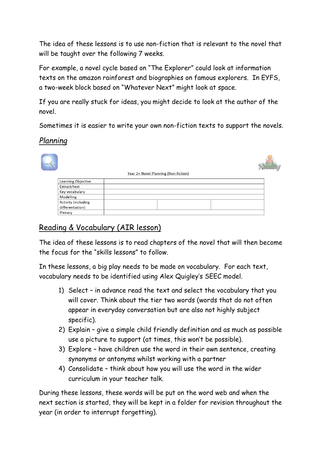The idea of these lessons is to use non-fiction that is relevant to the novel that will be taught over the following 7 weeks.

For example, a novel cycle based on "The Explorer" could look at information texts on the amazon rainforest and biographies on famous explorers. In EYFS, a two-week block based on "Whatever Next" might look at space.

If you are really stuck for ideas, you might decide to look at the author of the novel.

Sometimes it is easier to write your own non-fiction texts to support the novels.

### *Planning*



### Reading & Vocabulary (AIR lesson)

The idea of these lessons is to read chapters of the novel that will then become the focus for the "skills lessons" to follow.

In these lessons, a big play needs to be made on vocabulary. For each text, vocabulary needs to be identified using Alex Quigley's SEEC model.

- 1) Select in advance read the text and select the vocabulary that you will cover. Think about the tier two words (words that do not often appear in everyday conversation but are also not highly subject specific).
- 2) Explain give a simple child friendly definition and as much as possible use a picture to support (at times, this won't be possible).
- 3) Explore have children use the word in their own sentence, creating synonyms or antonyms whilst working with a partner
- 4) Consolidate think about how you will use the word in the wider curriculum in your teacher talk.

During these lessons, these words will be put on the word web and when the next section is started, they will be kept in a folder for revision throughout the year (in order to interrupt forgetting).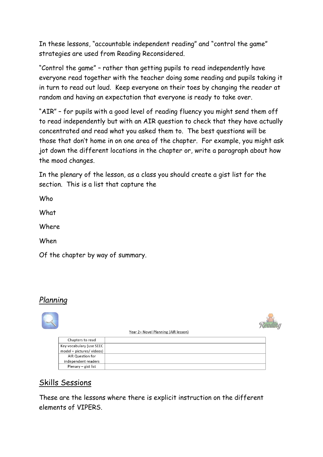In these lessons, "accountable independent reading" and "control the game" strategies are used from Reading Reconsidered.

"Control the game" – rather than getting pupils to read independently have everyone read together with the teacher doing some reading and pupils taking it in turn to read out loud. Keep everyone on their toes by changing the reader at random and having an expectation that everyone is ready to take over.

"AIR" – for pupils with a good level of reading fluency you might send them off to read independently but with an AIR question to check that they have actually concentrated and read what you asked them to. The best questions will be those that don't home in on one area of the chapter. For example, you might ask jot down the different locations in the chapter or, write a paragraph about how the mood changes.

In the plenary of the lesson, as a class you should create a gist list for the section. This is a list that capture the

Who **What** Where When Of the chapter by way of summary.

### *Planning*



### Skills Sessions

These are the lessons where there is explicit instruction on the different elements of VIPERS.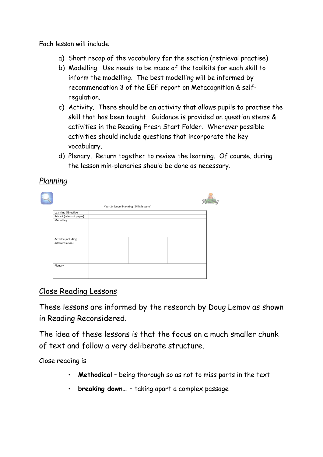Each lesson will include

- a) Short recap of the vocabulary for the section (retrieval practise)
- b) Modelling. Use needs to be made of the toolkits for each skill to inform the modelling. The best modelling will be informed by recommendation 3 of the EEF report on Metacognition & selfregulation.
- c) Activity. There should be an activity that allows pupils to practise the skill that has been taught. Guidance is provided on question stems & activities in the Reading Fresh Start Folder. Wherever possible activities should include questions that incorporate the key vocabulary.
- d) Plenary. Return together to review the learning. Of course, during the lesson min-plenaries should be done as necessary.

### *Planning*

|                                         | Year 2+ Novel Planning (Skills lessons) |  |
|-----------------------------------------|-----------------------------------------|--|
| Learning Objective                      |                                         |  |
| Extract (relevant pages)                |                                         |  |
| Modelling                               |                                         |  |
| Activity (including<br>differentiation) |                                         |  |
| Plenary                                 |                                         |  |

### Close Reading Lessons

These lessons are informed by the research by Doug Lemov as shown in Reading Reconsidered.

The idea of these lessons is that the focus on a much smaller chunk of text and follow a very deliberate structure.

Close reading is

- **Methodical** being thorough so as not to miss parts in the text
- **breaking down…**  taking apart a complex passage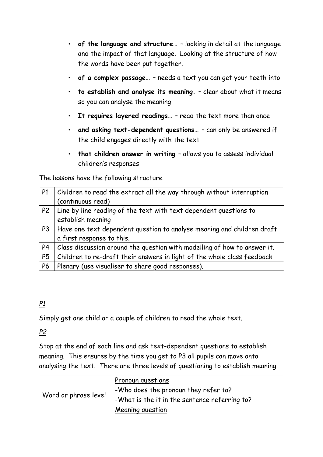- **of the language and structure…**  looking in detail at the language and the impact of that language. Looking at the structure of how the words have been put together.
- **of a complex passage…**  needs a text you can get your teeth into
- **to establish and analyse its meaning.**  clear about what it means so you can analyse the meaning
- **It requires layered readings…**  read the text more than once
- **and asking text-dependent questions…**  can only be answered if the child engages directly with the text
- **that children answer in writing**  allows you to assess individual children's responses

The lessons have the following structure

| P1             | Children to read the extract all the way through without interruption    |
|----------------|--------------------------------------------------------------------------|
|                | (continuous read)                                                        |
| P <sub>2</sub> | Line by line reading of the text with text dependent questions to        |
|                | establish meaning                                                        |
| P <sub>3</sub> | Have one text dependent question to analyse meaning and children draft   |
|                | a first response to this.                                                |
| P <sub>4</sub> | Class discussion around the question with modelling of how to answer it. |
| P <sub>5</sub> | Children to re-draft their answers in light of the whole class feedback  |
| <b>P6</b>      | Plenary (use visualiser to share good responses).                        |

### *P1*

Simply get one child or a couple of children to read the whole text.

#### *P2*

Stop at the end of each line and ask text-dependent questions to establish meaning. This ensures by the time you get to P3 all pupils can move onto analysing the text. There are three levels of questioning to establish meaning

| Word or phrase level | Pronoun questions<br>-Who does the pronoun they refer to?<br>-What is the it in the sentence referring to? |
|----------------------|------------------------------------------------------------------------------------------------------------|
|                      | Meaning question                                                                                           |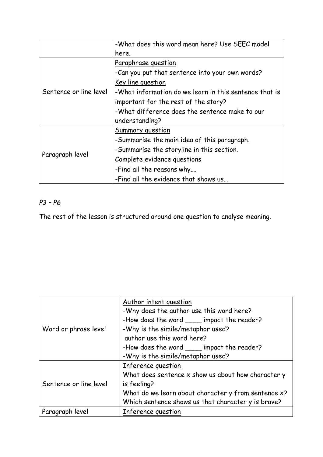|                        | -What does this word mean here? Use SEEC model         |
|------------------------|--------------------------------------------------------|
|                        | here.                                                  |
|                        | Paraphrase question                                    |
|                        | -Can you put that sentence into your own words?        |
|                        | <u>Key line question</u>                               |
| Sentence or line level | -What information do we learn in this sentence that is |
|                        | important for the rest of the story?                   |
|                        | -What difference does the sentence make to our         |
|                        | understanding?                                         |
|                        | Summary question                                       |
|                        | -Summarise the main idea of this paragraph.            |
|                        | -Summarise the storyline in this section.              |
| Paragraph level        | Complete evidence questions                            |
|                        | -Find all the reasons why                              |
|                        | -Find all the evidence that shows us                   |

### *P3 – P6*

The rest of the lesson is structured around one question to analyse meaning.

|                        | Author intent question                              |
|------------------------|-----------------------------------------------------|
|                        | -Why does the author use this word here?            |
|                        | -How does the word _____ impact the reader?         |
| Word or phrase level   | -Why is the simile/metaphor used?                   |
|                        | author use this word here?                          |
|                        | -How does the word ____ impact the reader?          |
|                        | -Why is the simile/metaphor used?                   |
|                        | Inference question                                  |
|                        | What does sentence x show us about how character y  |
| Sentence or line level | is feeling?                                         |
|                        | What do we learn about character y from sentence x? |
|                        | Which sentence shows us that character y is brave?  |
| Paragraph level        | Inference question                                  |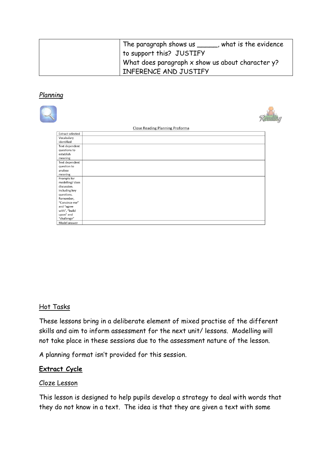| The paragraph shows us _____, what is the evidence    |
|-------------------------------------------------------|
| to support this? JUSTIFY                              |
| What does paragraph $x$ show us about character $y$ ? |
| INFERENCE AND JUSTIFY                                 |

#### *Planning*

|                             | Close Reading Planning Proforma |  |
|-----------------------------|---------------------------------|--|
| <b>Extract selected</b>     |                                 |  |
| Vocabulary<br>identified    |                                 |  |
| Text dependent              |                                 |  |
| questions to                |                                 |  |
| establish                   |                                 |  |
| meaning                     |                                 |  |
| Text dependent              |                                 |  |
| question to                 |                                 |  |
| analyse                     |                                 |  |
| meaning                     |                                 |  |
| Prompts for                 |                                 |  |
| modelling/class             |                                 |  |
| discussion.                 |                                 |  |
| Including key               |                                 |  |
| questions.                  |                                 |  |
| Remember,                   |                                 |  |
| "Convince me"               |                                 |  |
| and "agree                  |                                 |  |
| with", "build               |                                 |  |
| upon" and                   |                                 |  |
| "challenge"<br>Model answer |                                 |  |
|                             |                                 |  |

#### Hot Tasks

These lessons bring in a deliberate element of mixed practise of the different skills and aim to inform assessment for the next unit/ lessons. Modelling will not take place in these sessions due to the assessment nature of the lesson.

A planning format isn't provided for this session.

#### **Extract Cycle**

#### Cloze Lesson

This lesson is designed to help pupils develop a strategy to deal with words that they do not know in a text. The idea is that they are given a text with some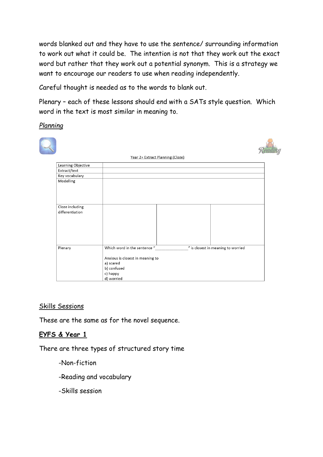words blanked out and they have to use the sentence/ surrounding information to work out what it could be. The intention is not that they work out the exact word but rather that they work out a potential synonym. This is a strategy we want to encourage our readers to use when reading independently.

Careful thought is needed as to the words to blank out.

Plenary – each of these lessons should end with a SATs style question. Which word in the text is most similar in meaning to.

*Planning*

|                                    | Year 2+ Extract Planning (Cloze)                                         |  |
|------------------------------------|--------------------------------------------------------------------------|--|
| Learning Objective                 |                                                                          |  |
| Extract/text                       |                                                                          |  |
| Key vocabulary                     |                                                                          |  |
| Modelling                          |                                                                          |  |
| Cloze including<br>differentiation |                                                                          |  |
|                                    |                                                                          |  |
| Plenary                            | Which word in the sentence "<br>" is closest in meaning to worried       |  |
|                                    | Anxious is closest in meaning to<br>a) scared<br>b) confused<br>c) happy |  |
|                                    | d) worried                                                               |  |

#### Skills Sessions

These are the same as for the novel sequence.

#### **EYFS & Year 1**

There are three types of structured story time

- -Non-fiction
- -Reading and vocabulary
- -Skills session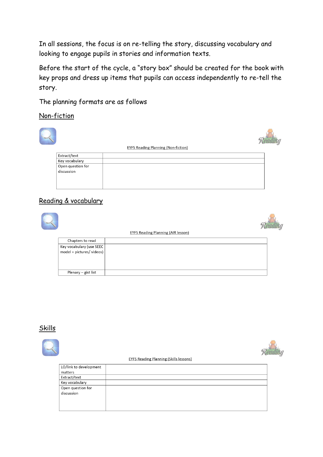In all sessions, the focus is on re-telling the story, discussing vocabulary and looking to engage pupils in stories and information texts.

Before the start of the cycle, a "story box" should be created for the book with key props and dress up items that pupils can access independently to re-tell the story.

The planning formats are as follows

Non-fiction



#### Reading & vocabulary

|                                                      | <b>EYFS Reading Planning (AIR lesson)</b> |  |
|------------------------------------------------------|-------------------------------------------|--|
| Chapters to read                                     |                                           |  |
| Key vocabulary (use SEEC<br>model + pictures/videos) |                                           |  |
| Plenary - gist list                                  |                                           |  |

#### Skills

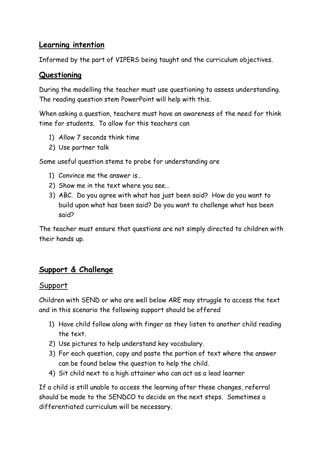### **Learning intention**

Informed by the part of VIPERS being taught and the curriculum objectives.

### **Questioning**

During the modelling the teacher must use questioning to assess understanding. The reading question stem PowerPoint will help with this.

When asking a question, teachers must have an awareness of the need for think time for students. To allow for this teachers can

- 1) Allow 7 seconds think time
- 2) Use partner talk

Some useful question stems to probe for understanding are

- 1) Convince me the answer is…
- 2) Show me in the text where you see…
- 3) ABC. Do you agree with what has just been said? How do you want to build upon what has been said? Do you want to challenge what has been said?

The teacher must ensure that questions are not simply directed to children with their hands up.

### **Support & Challenge**

#### **Support**

Children with SEND or who are well below ARE may struggle to access the text and in this scenario the following support should be offered

- 1) Have child follow along with finger as they listen to another child reading the text.
- 2) Use pictures to help understand key vocabulary.
- 3) For each question, copy and paste the portion of text where the answer can be found below the question to help the child.
- 4) Sit child next to a high attainer who can act as a lead learner

If a child is still unable to access the learning after these changes, referral should be made to the SENDCO to decide on the next steps. Sometimes a differentiated curriculum will be necessary.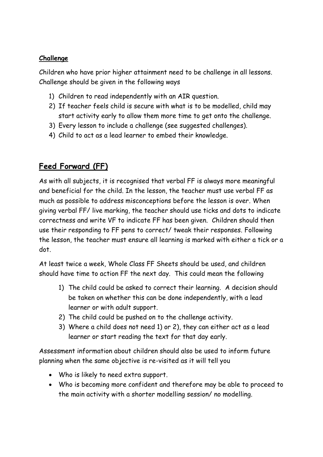#### **Challenge**

Children who have prior higher attainment need to be challenge in all lessons. Challenge should be given in the following ways

- 1) Children to read independently with an AIR question.
- 2) If teacher feels child is secure with what is to be modelled, child may start activity early to allow them more time to get onto the challenge.
- 3) Every lesson to include a challenge (see suggested challenges).
- 4) Child to act as a lead learner to embed their knowledge.

### **Feed Forward (FF)**

As with all subjects, it is recognised that verbal FF is always more meaningful and beneficial for the child. In the lesson, the teacher must use verbal FF as much as possible to address misconceptions before the lesson is over. When giving verbal FF/ live marking, the teacher should use ticks and dots to indicate correctness and write VF to indicate FF has been given. Children should then use their responding to FF pens to correct/ tweak their responses. Following the lesson, the teacher must ensure all learning is marked with either a tick or a dot.

At least twice a week, Whole Class FF Sheets should be used, and children should have time to action FF the next day. This could mean the following

- 1) The child could be asked to correct their learning. A decision should be taken on whether this can be done independently, with a lead learner or with adult support.
- 2) The child could be pushed on to the challenge activity.
- 3) Where a child does not need 1) or 2), they can either act as a lead learner or start reading the text for that day early.

Assessment information about children should also be used to inform future planning when the same objective is re-visited as it will tell you

- Who is likely to need extra support.
- Who is becoming more confident and therefore may be able to proceed to the main activity with a shorter modelling session/ no modelling.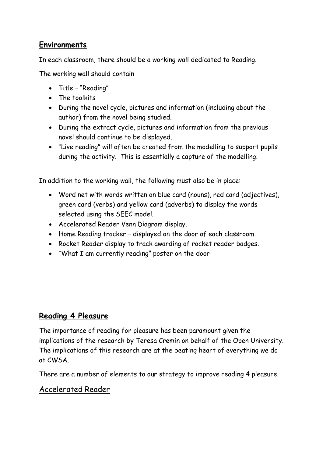### **Environments**

In each classroom, there should be a working wall dedicated to Reading.

The working wall should contain

- Title "Reading"
- The toolkits
- During the novel cycle, pictures and information (including about the author) from the novel being studied.
- During the extract cycle, pictures and information from the previous novel should continue to be displayed.
- "Live reading" will often be created from the modelling to support pupils during the activity. This is essentially a capture of the modelling.

In addition to the working wall, the following must also be in place:

- Word net with words written on blue card (nouns), red card (adjectives), green card (verbs) and yellow card (adverbs) to display the words selected using the SEEC model.
- Accelerated Reader Venn Diagram display.
- Home Reading tracker displayed on the door of each classroom.
- Rocket Reader display to track awarding of rocket reader badges.
- "What I am currently reading" poster on the door

### **Reading 4 Pleasure**

The importance of reading for pleasure has been paramount given the implications of the research by Teresa Cremin on behalf of the Open University. The implications of this research are at the beating heart of everything we do at CWSA.

There are a number of elements to our strategy to improve reading 4 pleasure.

### Accelerated Reader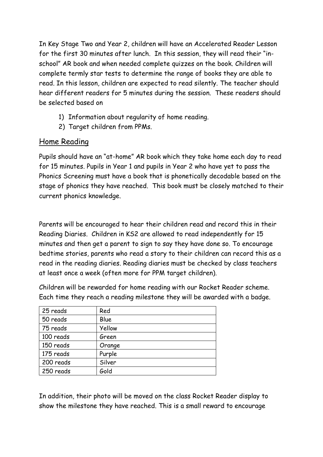In Key Stage Two and Year 2, children will have an Accelerated Reader Lesson for the first 30 minutes after lunch. In this session, they will read their "inschool" AR book and when needed complete quizzes on the book. Children will complete termly star tests to determine the range of books they are able to read. In this lesson, children are expected to read silently. The teacher should hear different readers for 5 minutes during the session. These readers should be selected based on

- 1) Information about regularity of home reading.
- 2) Target children from PPMs.

### Home Reading

Pupils should have an "at-home" AR book which they take home each day to read for 15 minutes. Pupils in Year 1 and pupils in Year 2 who have yet to pass the Phonics Screening must have a book that is phonetically decodable based on the stage of phonics they have reached. This book must be closely matched to their current phonics knowledge.

Parents will be encouraged to hear their children read and record this in their Reading Diaries. Children in KS2 are allowed to read independently for 15 minutes and then get a parent to sign to say they have done so. To encourage bedtime stories, parents who read a story to their children can record this as a read in the reading diaries. Reading diaries must be checked by class teachers at least once a week (often more for PPM target children).

Children will be rewarded for home reading with our Rocket Reader scheme. Each time they reach a reading milestone they will be awarded with a badge.

| 25 reads  | Red    |
|-----------|--------|
| 50 reads  | Blue   |
| 75 reads  | Yellow |
| 100 reads | Green  |
| 150 reads | Orange |
| 175 reads | Purple |
| 200 reads | Silver |
| 250 reads | Gold   |

In addition, their photo will be moved on the class Rocket Reader display to show the milestone they have reached. This is a small reward to encourage